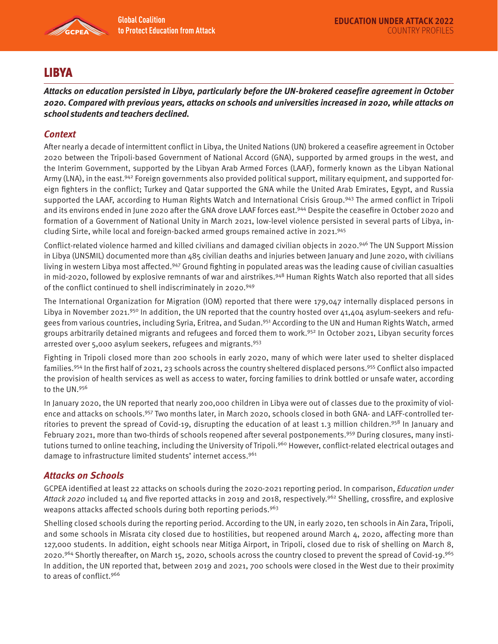

# LIBYA

**Attacks on education persisted in Libya, particularly before the UN-brokered ceasefire agreement in October 2020. Compared with previous years, attacks on schools and universities increased in 2020, while attacks on school students and teachers declined.** 

## **Context**

After nearly a decade of intermittent conflict in Libya, the United Nations (UN) brokered a ceasefire agreement in October 2020 between the Tripoli-based Government of National Accord (GNA), supported by armed groups in the west, and the Interim Government, supported by the Libyan Arab Armed Forces (LAAF), formerly known as the Libyan National Army (LNA), in the east.<sup>942</sup> Foreign governments also provided political support, military equipment, and supported foreign fighters in the conflict; Turkey and Qatar supported the GNA while the United Arab Emirates, Egypt, and Russia supported the LAAF, according to Human Rights Watch and International Crisis Group.<sup>943</sup> The armed conflict in Tripoli and its environs ended in June 2020 after the GNA drove LAAF forces east.944 Despite the ceasefire in October 2020 and formation of a Government of National Unity in March 2021, low-level violence persisted in several parts of Libya, including Sirte, while local and foreign-backed armed groups remained active in 2021.<sup>945</sup>

Conflict-related violence harmed and killed civilians and damaged civilian objects in 2020.946 The UN Support Mission in Libya (UNSMIL) documented more than 485 civilian deaths and injuries between January and June 2020, with civilians living in western Libya most affected.947 Ground fighting in populated areas was the leading cause of civilian casualties in mid-2020, followed by explosive remnants of war and airstrikes.<sup>948</sup> Human Rights Watch also reported that all sides of the conflict continued to shell indiscriminately in 2020.949

The International Organization for Migration (IOM) reported that there were 179,047 internally displaced persons in Libya in November 2021.<sup>950</sup> In addition, the UN reported that the country hosted over  $41,404$  asylum-seekers and refugees from various countries, including Syria, Eritrea, and Sudan.<sup>951</sup> According to the UN and Human Rights Watch, armed groups arbitrarily detained migrants and refugees and forced them to work.<sup>952</sup> In October 2021, Libyan security forces arrested over 5,000 asylum seekers, refugees and migrants.<sup>953</sup>

Fighting in Tripoli closed more than 200 schools in early 2020, many of which were later used to shelter displaced families.954 In the first half of 2021, 23 schools across the country sheltered displaced persons.955 Conflict also impacted the provision of health services as well as access to water, forcing families to drink bottled or unsafe water, according to the UN.956

In January 2020, the UN reported that nearly 200,000 children in Libya were out of classes due to the proximity of violence and attacks on schools.957 Two months later, in March 2020, schools closed in both GNA- and LAFF-controlled territories to prevent the spread of Covid-19, disrupting the education of at least 1.3 million children.<sup>958</sup> In January and February 2021, more than two-thirds of schools reopened after several postponements.<sup>959</sup> During closures, many institutions turned to online teaching, including the University of Tripoli.<sup>960</sup> However, conflict-related electrical outages and damage to infrastructure limited students' internet access.<sup>961</sup>

#### **Attacks on Schools**

GCPEA identified at least 22 attacks on schools during the 2020-2021 reporting period. In comparison, Education under Attack 2020 included 14 and five reported attacks in 2019 and 2018, respectively.<sup>962</sup> Shelling, crossfire, and explosive weapons attacks affected schools during both reporting periods.<sup>963</sup>

Shelling closed schools during the reporting period. According to the UN, in early 2020, ten schools in Ain Zara, Tripoli, and some schools in Misrata city closed due to hostilities, but reopened around March 4, 2020, affecting more than 127,000 students. In addition, eight schools near Mitiga Airport, in Tripoli, closed due to risk of shelling on March 8, 2020.964 Shortly thereafter, on March 15, 2020, schools across the country closed to prevent the spread of Covid-19.965 In addition, the UN reported that, between 2019 and 2021, 700 schools were closed in the West due to their proximity to areas of conflict.<sup>966</sup>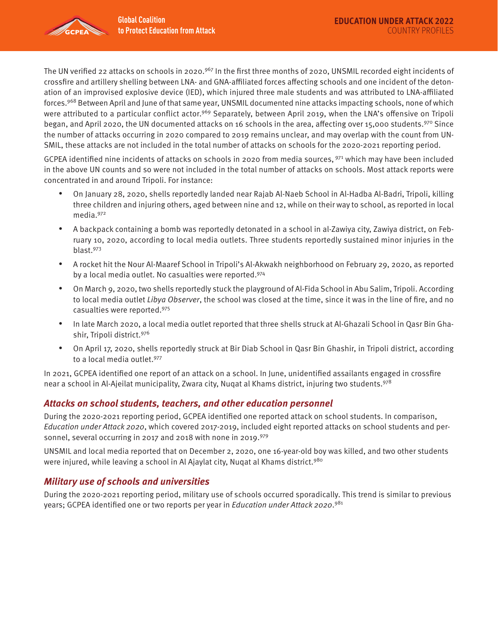

The UN verified 22 attacks on schools in 2020.<sup>967</sup> In the first three months of 2020, UNSMIL recorded eight incidents of crossfire and artillery shelling between LNA- and GNA-affiliated forces affecting schools and one incident of the detonation of an improvised explosive device (IED), which injured three male students and was attributed to LNA-affiliated forces.968 Between April and June of that same year, UNSMIL documented nine attacks impacting schools, none of which were attributed to a particular conflict actor.<sup>969</sup> Separately, between April 2019, when the LNA's offensive on Tripoli began, and April 2020, the UN documented attacks on 16 schools in the area, affecting over 15,000 students.970 Since the number of attacks occurring in 2020 compared to 2019 remains unclear, and may overlap with the count from UN-SMIL, these attacks are not included in the total number of attacks on schools for the 2020-2021 reporting period.

GCPEA identified nine incidents of attacks on schools in 2020 from media sources, 971 which may have been included in the above UN counts and so were not included in the total number of attacks on schools. Most attack reports were concentrated in and around Tripoli. For instance:

- On January 28, 2020, shells reportedly landed near Rajab Al-Naeb School in Al-Hadba Al-Badri, Tripoli, killing three children and injuring others, aged between nine and 12, while on their way to school, as reported in local media.972
- A backpack containing a bomb was reportedly detonated in a school in al-Zawiya city, Zawiya district, on February 10, 2020, according to local media outlets. Three students reportedly sustained minor injuries in the blast.973
- A rocket hit the Nour Al-Maaref School in Tripoli's Al-Akwakh neighborhood on February 29, 2020, as reported by a local media outlet. No casualties were reported.974
- On March 9, 2020, two shells reportedly stuck the playground of Al-Fida School in Abu Salim, Tripoli. According to local media outlet Libya Observer, the school was closed at the time, since it was in the line of fire, and no casualties were reported.975
- In late March 2020, a local media outlet reported that three shells struck at Al-Ghazali School in Qasr Bin Ghashir, Tripoli district.976
- On April 17, 2020, shells reportedly struck at Bir Diab School in Qasr Bin Ghashir, in Tripoli district, according to a local media outlet.<sup>977</sup>

In 2021, GCPEA identified one report of an attack on a school. In June, unidentified assailants engaged in crossfire near a school in Al-Ajeilat municipality, Zwara city, Nuqat al Khams district, injuring two students. 978

#### **Attacks on school students, teachers, and other education personnel**

During the 2020-2021 reporting period, GCPEA identified one reported attack on school students. In comparison, Education under Attack 2020, which covered 2017-2019, included eight reported attacks on school students and personnel, several occurring in 2017 and 2018 with none in 2019.<sup>979</sup>

UNSMIL and local media reported that on December 2, 2020, one 16-year-old boy was killed, and two other students were injured, while leaving a school in Al Ajaylat city, Nuqat al Khams district.<sup>980</sup>

#### **Military use of schools and universities**

During the 2020-2021 reporting period, military use of schools occurred sporadically. This trend is similar to previous years; GCPEA identified one or two reports per year in *Education under Attack 2020.*<sup>981</sup>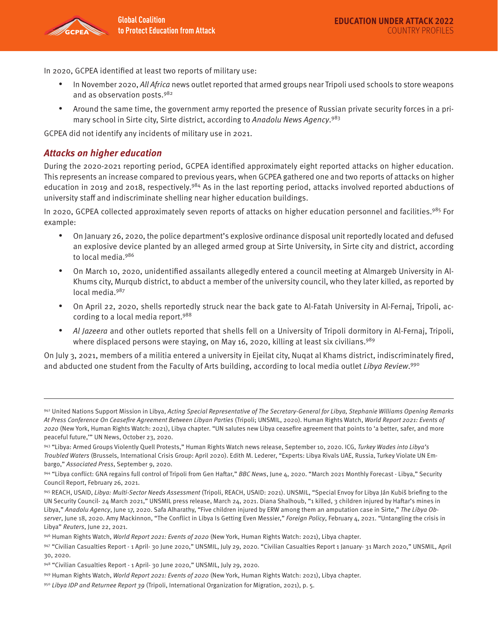

In 2020, GCPEA identified at least two reports of military use:

- In November 2020, All Africa news outlet reported that armed groups near Tripoli used schools to store weapons and as observation posts.<sup>982</sup>
- Around the same time, the government army reported the presence of Russian private security forces in a primary school in Sirte city, Sirte district, according to Anadolu News Agency.<sup>983</sup>

GCPEA did not identify any incidents of military use in 2021.

### **Attacks on higher education**

During the 2020-2021 reporting period, GCPEA identified approximately eight reported attacks on higher education. This represents an increase compared to previous years, when GCPEA gathered one and two reports of attacks on higher education in 2019 and 2018, respectively.<sup>984</sup> As in the last reporting period, attacks involved reported abductions of university staff and indiscriminate shelling near higher education buildings.

In 2020, GCPEA collected approximately seven reports of attacks on higher education personnel and facilities.<sup>985</sup> For example:

- On January 26, 2020, the police department's explosive ordinance disposal unit reportedly located and defused an explosive device planted by an alleged armed group at Sirte University, in Sirte city and district, according to local media.986
- On March 10, 2020, unidentified assailants allegedly entered a council meeting at Almargeb University in Al-Khums city, Murqub district, to abduct a member of the university council, who they later killed, as reported by local media.987
- On April 22, 2020, shells reportedly struck near the back gate to Al-Fatah University in Al-Fernaj, Tripoli, according to a local media report.988
- Al Jazeera and other outlets reported that shells fell on a University of Tripoli dormitory in Al-Fernaj, Tripoli, where displaced persons were staying, on May 16, 2020, killing at least six civilians.<sup>989</sup>

On July 3, 2021, members of a militia entered a university in Ejeilat city, Nuqat al Khams district, indiscriminately fired, and abducted one student from the Faculty of Arts building, according to local media outlet Libya Review.<sup>990</sup>

<sup>942</sup> United Nations Support Mission in Libya, Acting Special Representative of The Secretary-General for Libya, Stephanie Williams Opening Remarks At Press Conference On Ceasefire Agreement Between Libyan Parties (Tripoli; UNSMIL, 2020). Human Rights Watch, World Report 2021: Events of 2020 (New York, Human Rights Watch: 2021), Libya chapter. "UN salutes new Libya ceasefire agreement that points to 'a better, safer, and more peaceful future,'" UN News, October 23, 2020.

<sup>943 &</sup>quot;Libya: Armed Groups Violently Quell Protests," Human Rights Watch news release, September 10, 2020. ICG, Turkey Wades into Libya's Troubled Waters (Brussels, International Crisis Group: April 2020). Edith M. Lederer, "Experts: Libya Rivals UAE, Russia, Turkey Violate UN Embargo," Associated Press, September 9, 2020.

<sup>944 &</sup>quot;Libya conflict: GNA regains full control of Tripoli from Gen Haftar," BBC News, June 4, 2020. "March 2021 Monthly Forecast - Libya," Security Council Report, February 26, 2021.

<sup>945</sup> REACH, USAID, Libya: Multi-Sector Needs Assessment (Tripoli, REACH, USAID: 2021). UNSMIL, "Special Envoy for Libya Ján Kubiš briefing to the UN Security Council- 24 March 2021," UNSMIL press release, March 24, 2021. Diana Shalhoub, "1 killed, 3 children injured by Haftar's mines in Libya," Anadolu Agency, June 17, 2020. Safa Alharathy, "Five children injured by ERW among them an amputation case in Sirte," The Libya Observer, June 18, 2020. Amy Mackinnon, "The Conflict in Libya Is Getting Even Messier," Foreign Policy, February 4, 2021. "Untangling the crisis in Libya" Reuters, June 22, 2021.

<sup>946</sup> Human Rights Watch, World Report 2021: Events of 2020 (New York, Human Rights Watch: 2021), Libya chapter.

<sup>947 &</sup>quot;Civilian Casualties Report - 1 April- 30 June 2020," UNSMIL, July 29, 2020. "Civilian Casualties Report 1 January- 31 March 2020," UNSMIL, April 30, 2020.

<sup>948 &</sup>quot;Civilian Casualties Report - 1 April- 30 June 2020," UNSMIL, July 29, 2020.

<sup>949</sup> Human Rights Watch, World Report 2021: Events of 2020 (New York, Human Rights Watch: 2021), Libya chapter.

<sup>950</sup> Libya IDP and Returnee Report 39 (Tripoli, International Organization for Migration, 2021), p. 5.